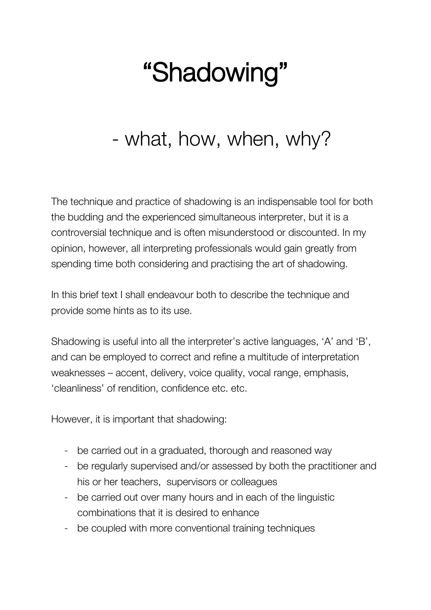## "Shadowing"

## - what, how, when, why?

The technique and practice of shadowing is an indispensable tool for both the budding and the experienced simultaneous interpreter, but it is a controversial technique and is often misunderstood or discounted. In my opinion, however, all interpreting professionals would gain greatly from spending time both considering and practising the art of shadowing.

In this brief text I shall endeavour both to describe the technique and provide some hints as to its use.

Shadowing is useful into all the interpreter's active languages, 'A' and 'B', and can be employed to correct and refine a multitude of interpretation weaknesses – accent, delivery, voice quality, vocal range, emphasis, 'cleanliness' of rendition, confidence etc. etc.

However, it is important that shadowing:

- be carried out in a graduated, thorough and reasoned way
- be regularly supervised and/or assessed by both the practitioner and his or her teachers, supervisors or colleagues
- be carried out over many hours and in each of the linguistic combinations that it is desired to enhance
- be coupled with more conventional training techniques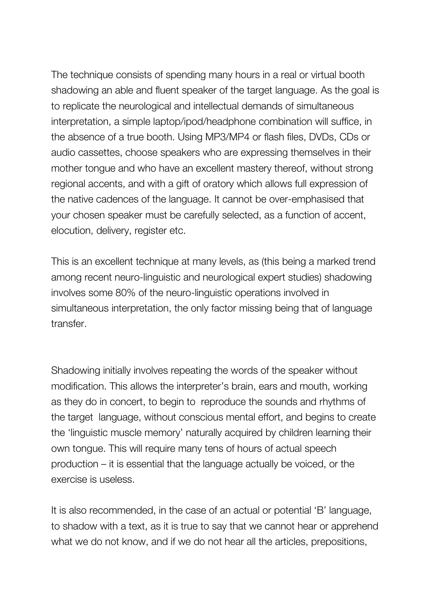The technique consists of spending many hours in a real or virtual booth shadowing an able and fluent speaker of the target language. As the goal is to replicate the neurological and intellectual demands of simultaneous interpretation, a simple laptop/ipod/headphone combination will suffice, in the absence of a true booth. Using MP3/MP4 or flash files, DVDs, CDs or audio cassettes, choose speakers who are expressing themselves in their mother tongue and who have an excellent mastery thereof, without strong regional accents, and with a gift of oratory which allows full expression of the native cadences of the language. It cannot be over-emphasised that your chosen speaker must be carefully selected, as a function of accent, elocution, delivery, register etc.

This is an excellent technique at many levels, as (this being a marked trend among recent neuro-linguistic and neurological expert studies) shadowing involves some 80% of the neuro-linguistic operations involved in simultaneous interpretation, the only factor missing being that of language transfer.

Shadowing initially involves repeating the words of the speaker without modification. This allows the interpreter's brain, ears and mouth, working as they do in concert, to begin to reproduce the sounds and rhythms of the target language, without conscious mental effort, and begins to create the 'linguistic muscle memory' naturally acquired by children learning their own tongue. This will require many tens of hours of actual speech production – it is essential that the language actually be voiced, or the exercise is useless.

It is also recommended, in the case of an actual or potential 'B' language, to shadow with a text, as it is true to say that we cannot hear or apprehend what we do not know, and if we do not hear all the articles, prepositions,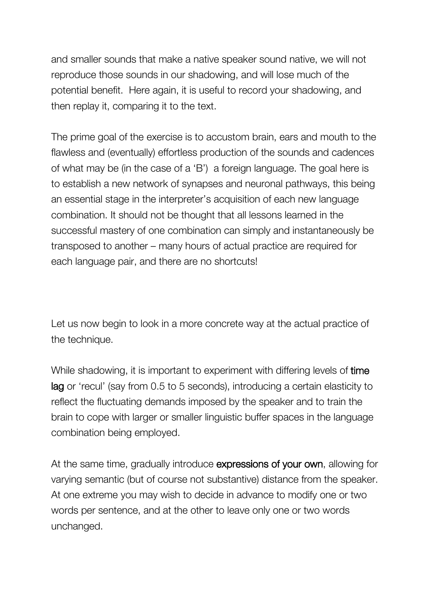and smaller sounds that make a native speaker sound native, we will not reproduce those sounds in our shadowing, and will lose much of the potential benefit. Here again, it is useful to record your shadowing, and then replay it, comparing it to the text.

The prime goal of the exercise is to accustom brain, ears and mouth to the flawless and (eventually) effortless production of the sounds and cadences of what may be (in the case of a 'B') a foreign language. The goal here is to establish a new network of synapses and neuronal pathways, this being an essential stage in the interpreter's acquisition of each new language combination. It should not be thought that all lessons learned in the successful mastery of one combination can simply and instantaneously be transposed to another – many hours of actual practice are required for each language pair, and there are no shortcuts!

Let us now begin to look in a more concrete way at the actual practice of the technique.

While shadowing, it is important to experiment with differing levels of **time** lag or 'recul' (say from 0.5 to 5 seconds), introducing a certain elasticity to reflect the fluctuating demands imposed by the speaker and to train the brain to cope with larger or smaller linguistic buffer spaces in the language combination being employed.

At the same time, gradually introduce expressions of your own, allowing for varying semantic (but of course not substantive) distance from the speaker. At one extreme you may wish to decide in advance to modify one or two words per sentence, and at the other to leave only one or two words unchanged.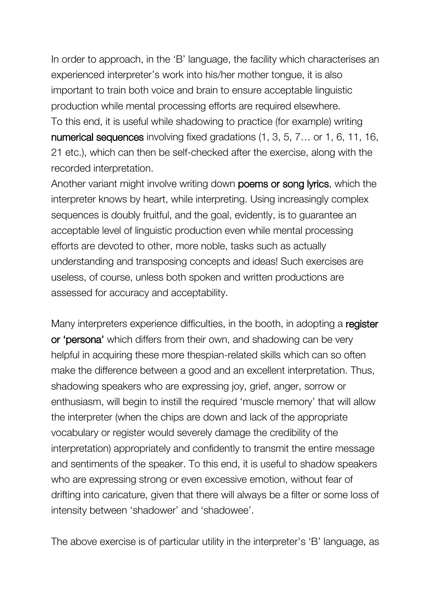In order to approach, in the 'B' language, the facility which characterises an experienced interpreter's work into his/her mother tongue, it is also important to train both voice and brain to ensure acceptable linguistic production while mental processing efforts are required elsewhere. To this end, it is useful while shadowing to practice (for example) writing numerical sequences involving fixed gradations (1, 3, 5, 7... or 1, 6, 11, 16, 21 etc.), which can then be self-checked after the exercise, along with the recorded interpretation.

Another variant might involve writing down poems or song lyrics, which the interpreter knows by heart, while interpreting. Using increasingly complex sequences is doubly fruitful, and the goal, evidently, is to guarantee an acceptable level of linguistic production even while mental processing efforts are devoted to other, more noble, tasks such as actually understanding and transposing concepts and ideas! Such exercises are useless, of course, unless both spoken and written productions are assessed for accuracy and acceptability.

Many interpreters experience difficulties, in the booth, in adopting a register or 'persona' which differs from their own, and shadowing can be very helpful in acquiring these more thespian-related skills which can so often make the difference between a good and an excellent interpretation. Thus, shadowing speakers who are expressing joy, grief, anger, sorrow or enthusiasm, will begin to instill the required 'muscle memory' that will allow the interpreter (when the chips are down and lack of the appropriate vocabulary or register would severely damage the credibility of the interpretation) appropriately and confidently to transmit the entire message and sentiments of the speaker. To this end, it is useful to shadow speakers who are expressing strong or even excessive emotion, without fear of drifting into caricature, given that there will always be a filter or some loss of intensity between 'shadower' and 'shadowee'.

The above exercise is of particular utility in the interpreter's 'B' language, as